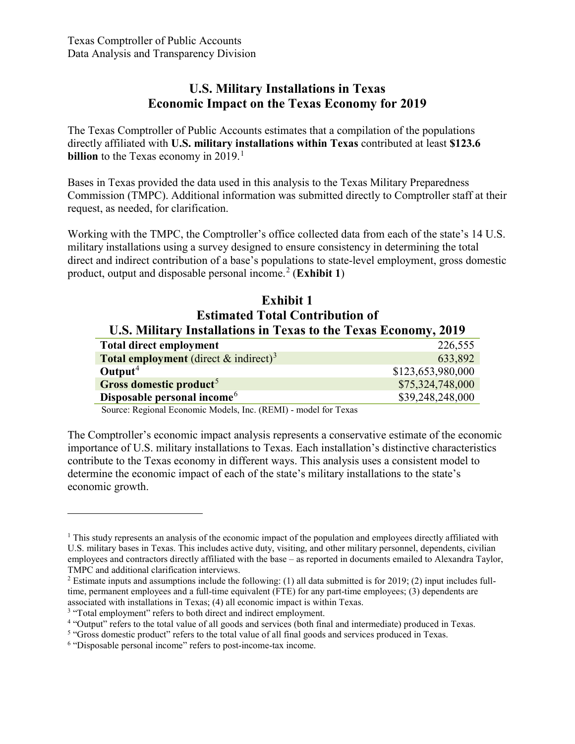### **U.S. Military Installations in Texas Economic Impact on the Texas Economy for 2019**

The Texas Comptroller of Public Accounts estimates that a compilation of the populations directly affiliated with **U.S. military installations within Texas** contributed at least **\$123.6 billion** to the Texas economy in 20[1](#page-0-0)9.<sup>1</sup>

Bases in Texas provided the data used in this analysis to the Texas Military Preparedness Commission (TMPC). Additional information was submitted directly to Comptroller staff at their request, as needed, for clarification.

Working with the TMPC, the Comptroller's office collected data from each of the state's 14 U.S. military installations using a survey designed to ensure consistency in determining the total direct and indirect contribution of a base's populations to state-level employment, gross domestic product, output and disposable personal income. [2](#page-0-1) (**Exhibit 1**)

### **Exhibit 1 Estimated Total Contribution of U.S. Military Installations in Texas to the Texas Economy, 2019**

| <b>Total direct employment</b>                              | 226,555           |
|-------------------------------------------------------------|-------------------|
| <b>Total employment</b> (direct $\&$ indirect) <sup>3</sup> | 633,892           |
| Output <sup>4</sup>                                         | \$123,653,980,000 |
| Gross domestic product <sup>5</sup>                         | \$75,324,748,000  |
| Disposable personal income <sup>6</sup>                     | \$39,248,248,000  |

Source: Regional Economic Models, Inc. (REMI) - model for Texas

The Comptroller's economic impact analysis represents a conservative estimate of the economic importance of U.S. military installations to Texas. Each installation's distinctive characteristics contribute to the Texas economy in different ways. This analysis uses a consistent model to determine the economic impact of each of the state's military installations to the state's economic growth.

<span id="page-0-0"></span><sup>&</sup>lt;sup>1</sup> This study represents an analysis of the economic impact of the population and employees directly affiliated with U.S. military bases in Texas. This includes active duty, visiting, and other military personnel, dependents, civilian employees and contractors directly affiliated with the base – as reported in documents emailed to Alexandra Taylor, TMPC and additional clarification interviews.

<span id="page-0-1"></span><sup>&</sup>lt;sup>2</sup> Estimate inputs and assumptions include the following: (1) all data submitted is for 2019; (2) input includes fulltime, permanent employees and a full-time equivalent (FTE) for any part-time employees; (3) dependents are associated with installations in Texas; (4) all economic impact is within Texas.

<span id="page-0-2"></span><sup>&</sup>lt;sup>3</sup> "Total employment" refers to both direct and indirect employment.

<span id="page-0-3"></span><sup>4</sup> "Output" refers to the total value of all goods and services (both final and intermediate) produced in Texas.

<span id="page-0-4"></span><sup>&</sup>lt;sup>5</sup> "Gross domestic product" refers to the total value of all final goods and services produced in Texas.

<span id="page-0-5"></span><sup>6</sup> "Disposable personal income" refers to post-income-tax income.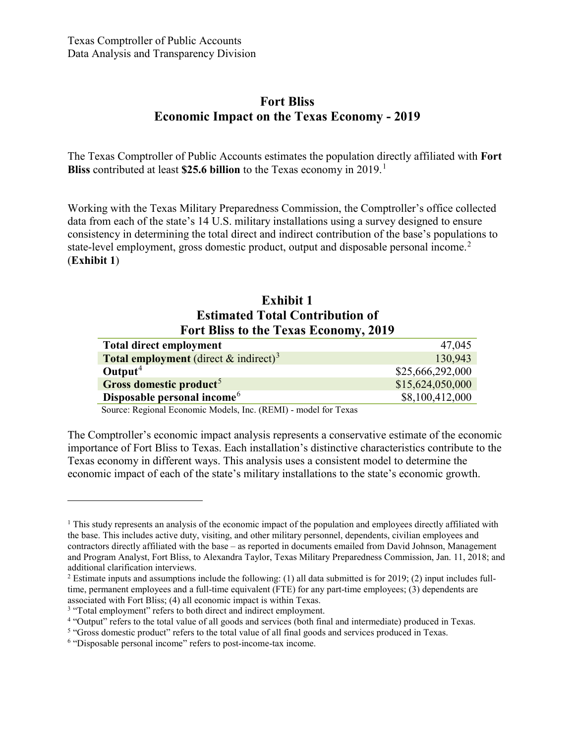### **Fort Bliss Economic Impact on the Texas Economy - 2019**

The Texas Comptroller of Public Accounts estimates the population directly affiliated with **Fort Bliss** contributed at least **\$25.6 billion** to the Texas economy in 2019. [1](#page-1-0)

Working with the Texas Military Preparedness Commission, the Comptroller's office collected data from each of the state's 14 U.S. military installations using a survey designed to ensure consistency in determining the total direct and indirect contribution of the base's populations to state-level employment, gross domestic product, output and disposable personal income.<sup>[2](#page-1-1)</sup> (**Exhibit 1**)

### **Exhibit 1 Estimated Total Contribution of Fort Bliss to the Texas Economy, 2019**

| 47,045           |
|------------------|
| 130,943          |
| \$25,666,292,000 |
| \$15,624,050,000 |
| \$8,100,412,000  |
|                  |

Source: Regional Economic Models, Inc. (REMI) - model for Texas

The Comptroller's economic impact analysis represents a conservative estimate of the economic importance of Fort Bliss to Texas. Each installation's distinctive characteristics contribute to the Texas economy in different ways. This analysis uses a consistent model to determine the economic impact of each of the state's military installations to the state's economic growth.

<span id="page-1-0"></span> $1$ . This study represents an analysis of the economic impact of the population and employees directly affiliated with the base. This includes active duty, visiting, and other military personnel, dependents, civilian employees and contractors directly affiliated with the base – as reported in documents emailed from David Johnson, Management and Program Analyst, Fort Bliss, to Alexandra Taylor, Texas Military Preparedness Commission, Jan. 11, 2018; and additional clarification interviews.

<span id="page-1-1"></span> $2$  Estimate inputs and assumptions include the following: (1) all data submitted is for 2019; (2) input includes fulltime, permanent employees and a full-time equivalent (FTE) for any part-time employees; (3) dependents are associated with Fort Bliss; (4) all economic impact is within Texas.

<span id="page-1-2"></span><sup>&</sup>lt;sup>3</sup> "Total employment" refers to both direct and indirect employment.

<span id="page-1-3"></span><sup>4</sup> "Output" refers to the total value of all goods and services (both final and intermediate) produced in Texas.

<span id="page-1-4"></span><sup>5</sup> "Gross domestic product" refers to the total value of all final goods and services produced in Texas.

<span id="page-1-5"></span><sup>6</sup> "Disposable personal income" refers to post-income-tax income.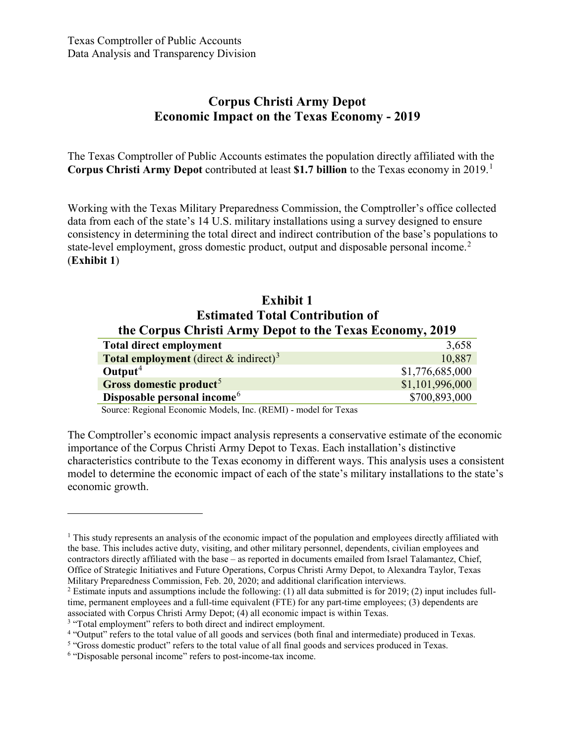# **Corpus Christi Army Depot Economic Impact on the Texas Economy - 2019**

The Texas Comptroller of Public Accounts estimates the population directly affiliated with the **Corpus Christi Army Depot** contributed at least **\$1.7 billion** to the Texas economy in 2019. [1](#page-2-0)

Working with the Texas Military Preparedness Commission, the Comptroller's office collected data from each of the state's 14 U.S. military installations using a survey designed to ensure consistency in determining the total direct and indirect contribution of the base's populations to state-level employment, gross domestic product, output and disposable personal income.<sup>[2](#page-2-1)</sup> (**Exhibit 1**)

#### **Exhibit 1 Estimated Total Contribution of the Corpus Christi Army Depot to the Texas Economy, 2019**

| <b>Total direct employment</b>                           | 3,658           |
|----------------------------------------------------------|-----------------|
| <b>Total employment</b> (direct & indirect) <sup>3</sup> | 10,887          |
| Output <sup>4</sup>                                      | \$1,776,685,000 |
| Gross domestic product <sup>5</sup>                      | \$1,101,996,000 |
| Disposable personal income <sup>6</sup>                  | \$700,893,000   |

Source: Regional Economic Models, Inc. (REMI) - model for Texas

The Comptroller's economic impact analysis represents a conservative estimate of the economic importance of the Corpus Christi Army Depot to Texas. Each installation's distinctive characteristics contribute to the Texas economy in different ways. This analysis uses a consistent model to determine the economic impact of each of the state's military installations to the state's economic growth.

<span id="page-2-0"></span> $1$  This study represents an analysis of the economic impact of the population and employees directly affiliated with the base. This includes active duty, visiting, and other military personnel, dependents, civilian employees and contractors directly affiliated with the base – as reported in documents emailed from Israel Talamantez, Chief, Office of Strategic Initiatives and Future Operations, Corpus Christi Army Depot, to Alexandra Taylor, Texas Military Preparedness Commission, Feb. 20, 2020; and additional clarification interviews.

<span id="page-2-1"></span><sup>&</sup>lt;sup>2</sup> Estimate inputs and assumptions include the following: (1) all data submitted is for 2019; (2) input includes fulltime, permanent employees and a full-time equivalent (FTE) for any part-time employees; (3) dependents are associated with Corpus Christi Army Depot; (4) all economic impact is within Texas.

<span id="page-2-2"></span><sup>&</sup>lt;sup>3</sup> "Total employment" refers to both direct and indirect employment.

<span id="page-2-3"></span><sup>4</sup> "Output" refers to the total value of all goods and services (both final and intermediate) produced in Texas.

<span id="page-2-4"></span><sup>&</sup>lt;sup>5</sup> "Gross domestic product" refers to the total value of all final goods and services produced in Texas.

<span id="page-2-5"></span><sup>6</sup> "Disposable personal income" refers to post-income-tax income.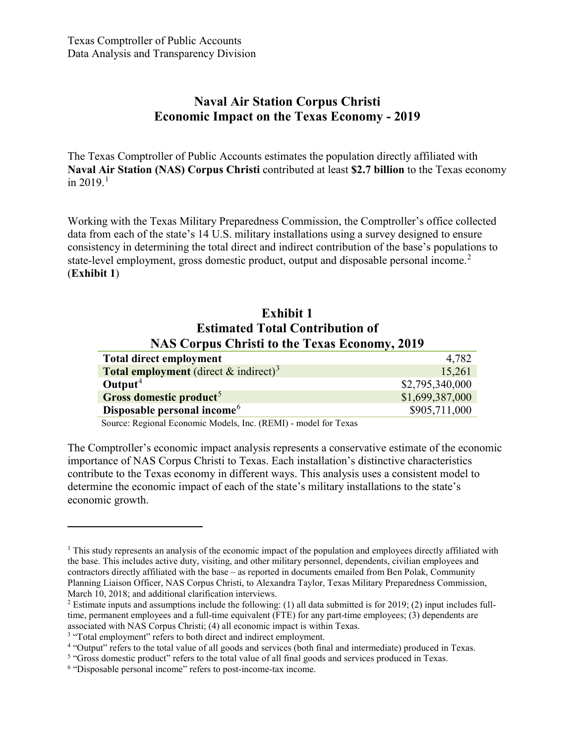# **Naval Air Station Corpus Christi Economic Impact on the Texas Economy - 2019**

The Texas Comptroller of Public Accounts estimates the population directly affiliated with **Naval Air Station (NAS) Corpus Christi** contributed at least **\$2.7 billion** to the Texas economy in 2019. [1](#page-3-0)

Working with the Texas Military Preparedness Commission, the Comptroller's office collected data from each of the state's 14 U.S. military installations using a survey designed to ensure consistency in determining the total direct and indirect contribution of the base's populations to state-level employment, gross domestic product, output and disposable personal income.<sup>[2](#page-3-1)</sup> (**Exhibit 1**)

#### **Exhibit 1 Estimated Total Contribution of NAS Corpus Christi to the Texas Economy, 2019**

| <b>Total direct employment</b>                              | 4,782           |
|-------------------------------------------------------------|-----------------|
| <b>Total employment</b> (direct $\&$ indirect) <sup>3</sup> | 15,261          |
| Output <sup>4</sup>                                         | \$2,795,340,000 |
| Gross domestic product <sup>5</sup>                         | \$1,699,387,000 |
| Disposable personal income <sup>6</sup>                     | \$905,711,000   |

Source: Regional Economic Models, Inc. (REMI) - model for Texas

The Comptroller's economic impact analysis represents a conservative estimate of the economic importance of NAS Corpus Christi to Texas. Each installation's distinctive characteristics contribute to the Texas economy in different ways. This analysis uses a consistent model to determine the economic impact of each of the state's military installations to the state's economic growth.

<span id="page-3-0"></span> $<sup>1</sup>$  This study represents an analysis of the economic impact of the population and employees directly affiliated with</sup> the base. This includes active duty, visiting, and other military personnel, dependents, civilian employees and contractors directly affiliated with the base – as reported in documents emailed from Ben Polak, Community Planning Liaison Officer, NAS Corpus Christi, to Alexandra Taylor, Texas Military Preparedness Commission, March 10, 2018; and additional clarification interviews.

<span id="page-3-1"></span><sup>&</sup>lt;sup>2</sup> Estimate inputs and assumptions include the following: (1) all data submitted is for 2019; (2) input includes fulltime, permanent employees and a full-time equivalent (FTE) for any part-time employees; (3) dependents are associated with NAS Corpus Christi; (4) all economic impact is within Texas.

<span id="page-3-2"></span><sup>&</sup>lt;sup>3</sup> "Total employment" refers to both direct and indirect employment.

<span id="page-3-3"></span><sup>4</sup> "Output" refers to the total value of all goods and services (both final and intermediate) produced in Texas.

<span id="page-3-4"></span><sup>&</sup>lt;sup>5</sup> "Gross domestic product" refers to the total value of all final goods and services produced in Texas.

<span id="page-3-5"></span><sup>6</sup> "Disposable personal income" refers to post-income-tax income.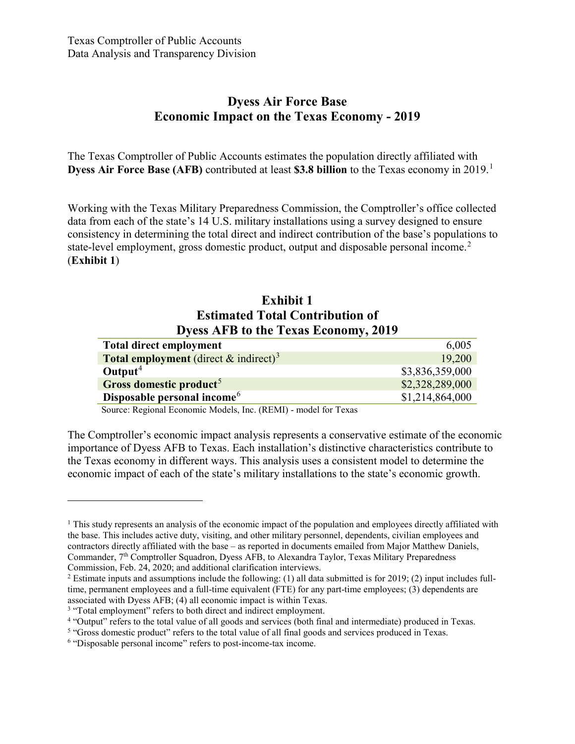### **Dyess Air Force Base Economic Impact on the Texas Economy - 2019**

The Texas Comptroller of Public Accounts estimates the population directly affiliated with **Dyess Air Force Base (AFB)** contributed at least **\$3.8 billion** to the Texas economy in 2019. [1](#page-4-0)

Working with the Texas Military Preparedness Commission, the Comptroller's office collected data from each of the state's 14 U.S. military installations using a survey designed to ensure consistency in determining the total direct and indirect contribution of the base's populations to state-level employment, gross domestic product, output and disposable personal income.<sup>[2](#page-4-1)</sup> (**Exhibit 1**)

### **Exhibit 1 Estimated Total Contribution of Dyess AFB to the Texas Economy, 2019**

| <b>Total direct employment</b>                              | 6,005           |
|-------------------------------------------------------------|-----------------|
| <b>Total employment</b> (direct $\&$ indirect) <sup>3</sup> | 19,200          |
| Output <sup>4</sup>                                         | \$3,836,359,000 |
| Gross domestic product <sup>5</sup>                         | \$2,328,289,000 |
| Disposable personal income <sup>6</sup>                     | \$1,214,864,000 |
|                                                             |                 |

Source: Regional Economic Models, Inc. (REMI) - model for Texas

The Comptroller's economic impact analysis represents a conservative estimate of the economic importance of Dyess AFB to Texas. Each installation's distinctive characteristics contribute to the Texas economy in different ways. This analysis uses a consistent model to determine the economic impact of each of the state's military installations to the state's economic growth.

<span id="page-4-0"></span> $1$ . This study represents an analysis of the economic impact of the population and employees directly affiliated with the base. This includes active duty, visiting, and other military personnel, dependents, civilian employees and contractors directly affiliated with the base – as reported in documents emailed from Major Matthew Daniels, Commander, 7th Comptroller Squadron, Dyess AFB, to Alexandra Taylor, Texas Military Preparedness Commission, Feb. 24, 2020; and additional clarification interviews.

<span id="page-4-1"></span> $2$  Estimate inputs and assumptions include the following: (1) all data submitted is for 2019; (2) input includes fulltime, permanent employees and a full-time equivalent (FTE) for any part-time employees; (3) dependents are associated with Dyess AFB; (4) all economic impact is within Texas.

<span id="page-4-2"></span><sup>&</sup>lt;sup>3</sup> "Total employment" refers to both direct and indirect employment.

<span id="page-4-3"></span><sup>4</sup> "Output" refers to the total value of all goods and services (both final and intermediate) produced in Texas.

<span id="page-4-4"></span><sup>5</sup> "Gross domestic product" refers to the total value of all final goods and services produced in Texas.

<span id="page-4-5"></span><sup>6</sup> "Disposable personal income" refers to post-income-tax income.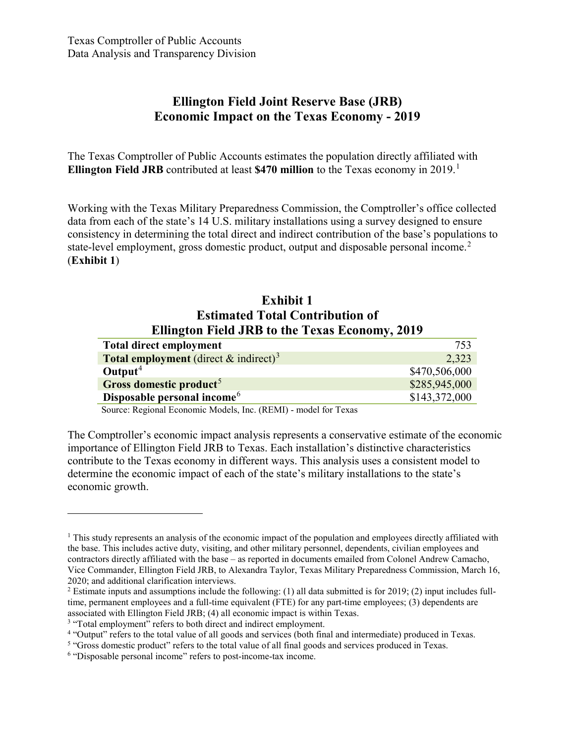# **Ellington Field Joint Reserve Base (JRB) Economic Impact on the Texas Economy - 2019**

The Texas Comptroller of Public Accounts estimates the population directly affiliated with **Ellington Field JRB** contributed at least **\$470 million** to the Texas economy in 2019. [1](#page-5-0)

Working with the Texas Military Preparedness Commission, the Comptroller's office collected data from each of the state's 14 U.S. military installations using a survey designed to ensure consistency in determining the total direct and indirect contribution of the base's populations to state-level employment, gross domestic product, output and disposable personal income.<sup>[2](#page-5-1)</sup> (**Exhibit 1**)

### **Exhibit 1 Estimated Total Contribution of Ellington Field JRB to the Texas Economy, 2019**

| <b>Total direct employment</b>                              | 753           |
|-------------------------------------------------------------|---------------|
| <b>Total employment</b> (direct $\&$ indirect) <sup>3</sup> | 2,323         |
| $\text{Output}^4$                                           | \$470,506,000 |
| Gross domestic product <sup>5</sup>                         | \$285,945,000 |
| Disposable personal income <sup>6</sup>                     | \$143,372,000 |

Source: Regional Economic Models, Inc. (REMI) - model for Texas

The Comptroller's economic impact analysis represents a conservative estimate of the economic importance of Ellington Field JRB to Texas. Each installation's distinctive characteristics contribute to the Texas economy in different ways. This analysis uses a consistent model to determine the economic impact of each of the state's military installations to the state's economic growth.

<span id="page-5-0"></span> $1$  This study represents an analysis of the economic impact of the population and employees directly affiliated with the base. This includes active duty, visiting, and other military personnel, dependents, civilian employees and contractors directly affiliated with the base – as reported in documents emailed from Colonel Andrew Camacho, Vice Commander, Ellington Field JRB, to Alexandra Taylor, Texas Military Preparedness Commission, March 16, 2020; and additional clarification interviews.

<span id="page-5-1"></span> $2$  Estimate inputs and assumptions include the following: (1) all data submitted is for 2019; (2) input includes fulltime, permanent employees and a full-time equivalent (FTE) for any part-time employees; (3) dependents are associated with Ellington Field JRB; (4) all economic impact is within Texas.

<span id="page-5-2"></span><sup>&</sup>lt;sup>3</sup> "Total employment" refers to both direct and indirect employment.

<span id="page-5-3"></span><sup>4</sup> "Output" refers to the total value of all goods and services (both final and intermediate) produced in Texas.

<span id="page-5-4"></span><sup>&</sup>lt;sup>5</sup> "Gross domestic product" refers to the total value of all final goods and services produced in Texas.

<span id="page-5-5"></span><sup>6</sup> "Disposable personal income" refers to post-income-tax income.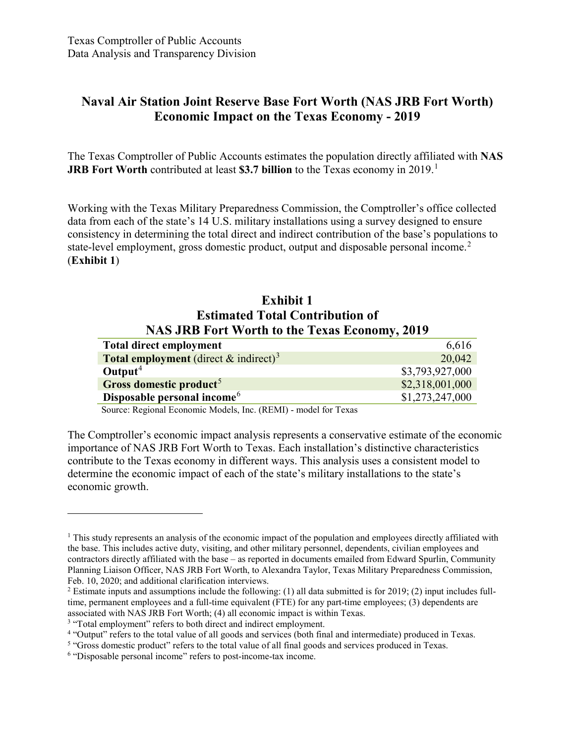# **Naval Air Station Joint Reserve Base Fort Worth (NAS JRB Fort Worth) Economic Impact on the Texas Economy - 2019**

The Texas Comptroller of Public Accounts estimates the population directly affiliated with **NAS JRB Fort Worth** contributed at least **\$3.7 billion** to the Texas economy in 2019. [1](#page-6-0)

Working with the Texas Military Preparedness Commission, the Comptroller's office collected data from each of the state's 14 U.S. military installations using a survey designed to ensure consistency in determining the total direct and indirect contribution of the base's populations to state-level employment, gross domestic product, output and disposable personal income. [2](#page-6-1) (**Exhibit 1**)

### **Exhibit 1 Estimated Total Contribution of NAS JRB Fort Worth to the Texas Economy, 2019**

| 6,616           |
|-----------------|
| 20,042          |
| \$3,793,927,000 |
| \$2,318,001,000 |
| \$1,273,247,000 |
|                 |

Source: Regional Economic Models, Inc. (REMI) - model for Texas

The Comptroller's economic impact analysis represents a conservative estimate of the economic importance of NAS JRB Fort Worth to Texas. Each installation's distinctive characteristics contribute to the Texas economy in different ways. This analysis uses a consistent model to determine the economic impact of each of the state's military installations to the state's economic growth.

<span id="page-6-0"></span> $1$  This study represents an analysis of the economic impact of the population and employees directly affiliated with the base. This includes active duty, visiting, and other military personnel, dependents, civilian employees and contractors directly affiliated with the base – as reported in documents emailed from Edward Spurlin, Community Planning Liaison Officer, NAS JRB Fort Worth, to Alexandra Taylor, Texas Military Preparedness Commission, Feb. 10, 2020; and additional clarification interviews.

<span id="page-6-1"></span><sup>2</sup> Estimate inputs and assumptions include the following: (1) all data submitted is for 2019; (2) input includes fulltime, permanent employees and a full-time equivalent (FTE) for any part-time employees; (3) dependents are associated with NAS JRB Fort Worth; (4) all economic impact is within Texas.

<span id="page-6-2"></span><sup>&</sup>lt;sup>3</sup> "Total employment" refers to both direct and indirect employment.

<span id="page-6-3"></span><sup>4</sup> "Output" refers to the total value of all goods and services (both final and intermediate) produced in Texas.

<span id="page-6-4"></span><sup>&</sup>lt;sup>5</sup> "Gross domestic product" refers to the total value of all final goods and services produced in Texas.

<span id="page-6-5"></span><sup>6</sup> "Disposable personal income" refers to post-income-tax income.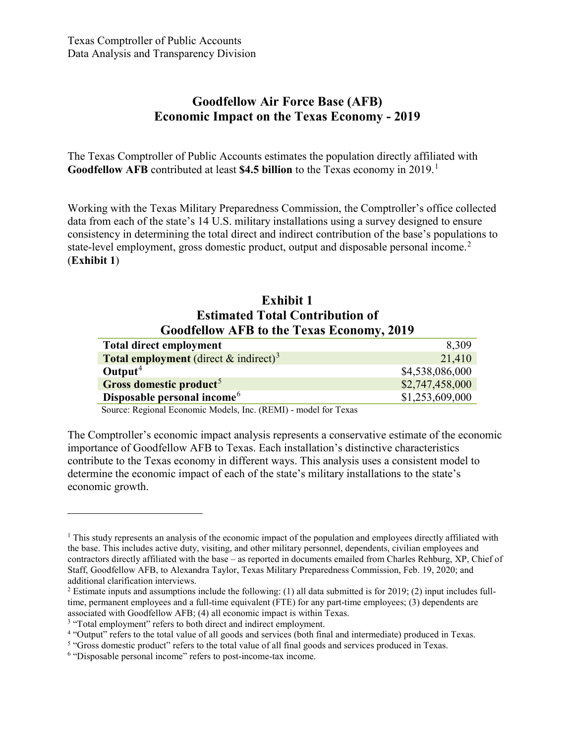# **Goodfellow Air Force Base (AFB) Economic Impact on the Texas Economy - 2019**

The Texas Comptroller of Public Accounts estimates the population directly affiliated with **Goodfellow AFB** contributed at least **\$4.5 billion** to the Texas economy in 2019. [1](#page-7-0)

Working with the Texas Military Preparedness Commission, the Comptroller's office collected data from each of the state's 14 U.S. military installations using a survey designed to ensure consistency in determining the total direct and indirect contribution of the base's populations to state-level employment, gross domestic product, output and disposable personal income.<sup>[2](#page-7-1)</sup> (**Exhibit 1**)

### **Exhibit 1 Estimated Total Contribution of Goodfellow AFB to the Texas Economy, 2019**

| <b>Total direct employment</b>                              | 8,309           |
|-------------------------------------------------------------|-----------------|
| <b>Total employment</b> (direct $\&$ indirect) <sup>3</sup> | 21,410          |
| $\text{Output}^4$                                           | \$4,538,086,000 |
| Gross domestic product <sup>5</sup>                         | \$2,747,458,000 |
| Disposable personal income <sup>6</sup>                     | \$1,253,609,000 |

Source: Regional Economic Models, Inc. (REMI) - model for Texas

The Comptroller's economic impact analysis represents a conservative estimate of the economic importance of Goodfellow AFB to Texas. Each installation's distinctive characteristics contribute to the Texas economy in different ways. This analysis uses a consistent model to determine the economic impact of each of the state's military installations to the state's economic growth.

<span id="page-7-0"></span> $1$  This study represents an analysis of the economic impact of the population and employees directly affiliated with the base. This includes active duty, visiting, and other military personnel, dependents, civilian employees and contractors directly affiliated with the base – as reported in documents emailed from Charles Rehburg, XP, Chief of Staff, Goodfellow AFB, to Alexandra Taylor, Texas Military Preparedness Commission, Feb. 19, 2020; and additional clarification interviews.

<span id="page-7-1"></span><sup>2</sup> Estimate inputs and assumptions include the following: (1) all data submitted is for 2019; (2) input includes fulltime, permanent employees and a full-time equivalent (FTE) for any part-time employees; (3) dependents are associated with Goodfellow AFB; (4) all economic impact is within Texas.

<span id="page-7-2"></span><sup>&</sup>lt;sup>3</sup> "Total employment" refers to both direct and indirect employment.

<span id="page-7-3"></span><sup>4</sup> "Output" refers to the total value of all goods and services (both final and intermediate) produced in Texas.

<span id="page-7-4"></span><sup>&</sup>lt;sup>5</sup> "Gross domestic product" refers to the total value of all final goods and services produced in Texas.

<span id="page-7-5"></span><sup>6</sup> "Disposable personal income" refers to post-income-tax income.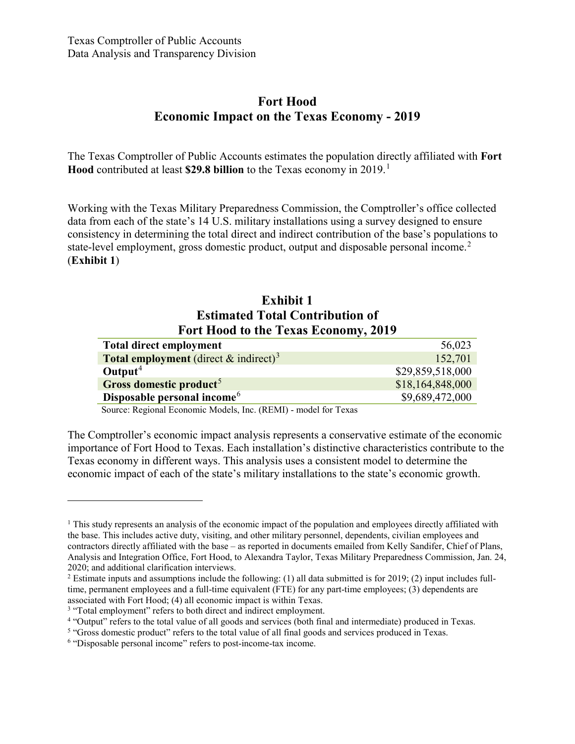# **Fort Hood Economic Impact on the Texas Economy - 2019**

The Texas Comptroller of Public Accounts estimates the population directly affiliated with **Fort Hood** contributed at least **\$29.8 billion** to the Texas economy in 2019. [1](#page-8-0)

Working with the Texas Military Preparedness Commission, the Comptroller's office collected data from each of the state's 14 U.S. military installations using a survey designed to ensure consistency in determining the total direct and indirect contribution of the base's populations to state-level employment, gross domestic product, output and disposable personal income.<sup>[2](#page-8-1)</sup> (**Exhibit 1**)

### **Exhibit 1 Estimated Total Contribution of Fort Hood to the Texas Economy, 2019**

| <b>Total direct employment</b>                           | 56,023           |
|----------------------------------------------------------|------------------|
| <b>Total employment</b> (direct & indirect) <sup>3</sup> | 152,701          |
| $\text{Output}^4$                                        | \$29,859,518,000 |
| Gross domestic product <sup>5</sup>                      | \$18,164,848,000 |
| Disposable personal income <sup>6</sup>                  | \$9,689,472,000  |
|                                                          |                  |

Source: Regional Economic Models, Inc. (REMI) - model for Texas

The Comptroller's economic impact analysis represents a conservative estimate of the economic importance of Fort Hood to Texas. Each installation's distinctive characteristics contribute to the Texas economy in different ways. This analysis uses a consistent model to determine the economic impact of each of the state's military installations to the state's economic growth.

<span id="page-8-0"></span> $1$ . This study represents an analysis of the economic impact of the population and employees directly affiliated with the base. This includes active duty, visiting, and other military personnel, dependents, civilian employees and contractors directly affiliated with the base – as reported in documents emailed from Kelly Sandifer, Chief of Plans, Analysis and Integration Office, Fort Hood, to Alexandra Taylor, Texas Military Preparedness Commission, Jan. 24, 2020; and additional clarification interviews.

<span id="page-8-1"></span> $2$  Estimate inputs and assumptions include the following: (1) all data submitted is for 2019; (2) input includes fulltime, permanent employees and a full-time equivalent (FTE) for any part-time employees; (3) dependents are associated with Fort Hood; (4) all economic impact is within Texas.

<span id="page-8-2"></span><sup>&</sup>lt;sup>3</sup> "Total employment" refers to both direct and indirect employment.

<span id="page-8-3"></span><sup>4</sup> "Output" refers to the total value of all goods and services (both final and intermediate) produced in Texas.

<span id="page-8-4"></span><sup>5</sup> "Gross domestic product" refers to the total value of all final goods and services produced in Texas.

<span id="page-8-5"></span><sup>6</sup> "Disposable personal income" refers to post-income-tax income.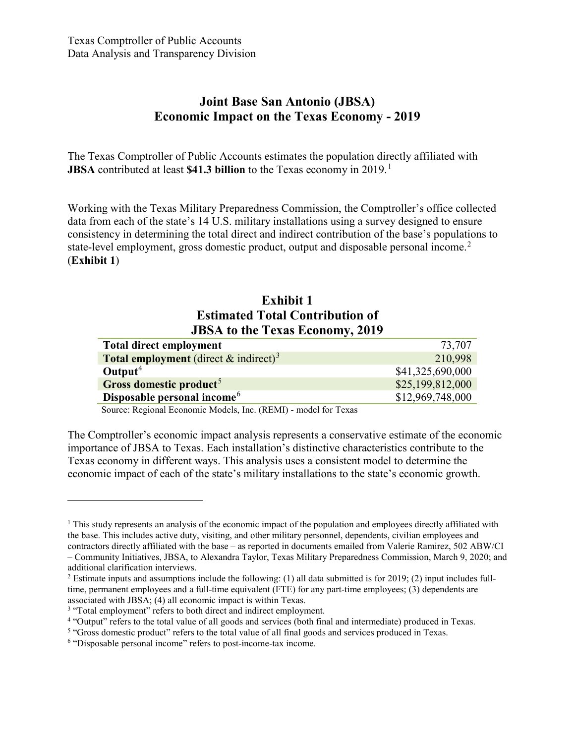### **Joint Base San Antonio (JBSA) Economic Impact on the Texas Economy - 2019**

The Texas Comptroller of Public Accounts estimates the population directly affiliated with **JBSA** contributed at least **\$41.3 billion** to the Texas economy in 2019. [1](#page-9-0)

Working with the Texas Military Preparedness Commission, the Comptroller's office collected data from each of the state's 14 U.S. military installations using a survey designed to ensure consistency in determining the total direct and indirect contribution of the base's populations to state-level employment, gross domestic product, output and disposable personal income.<sup>[2](#page-9-1)</sup> (**Exhibit 1**)

### **Exhibit 1 Estimated Total Contribution of JBSA to the Texas Economy, 2019**

| 73,707           |
|------------------|
| 210,998          |
| \$41,325,690,000 |
| \$25,199,812,000 |
| \$12,969,748,000 |
|                  |

Source: Regional Economic Models, Inc. (REMI) - model for Texas

The Comptroller's economic impact analysis represents a conservative estimate of the economic importance of JBSA to Texas. Each installation's distinctive characteristics contribute to the Texas economy in different ways. This analysis uses a consistent model to determine the economic impact of each of the state's military installations to the state's economic growth.

<span id="page-9-0"></span> $1$ . This study represents an analysis of the economic impact of the population and employees directly affiliated with the base. This includes active duty, visiting, and other military personnel, dependents, civilian employees and contractors directly affiliated with the base – as reported in documents emailed from Valerie Ramirez, 502 ABW/CI – Community Initiatives, JBSA, to Alexandra Taylor, Texas Military Preparedness Commission, March 9, 2020; and additional clarification interviews.

<span id="page-9-1"></span> $2$  Estimate inputs and assumptions include the following: (1) all data submitted is for 2019; (2) input includes fulltime, permanent employees and a full-time equivalent (FTE) for any part-time employees; (3) dependents are associated with JBSA; (4) all economic impact is within Texas.

<span id="page-9-2"></span><sup>&</sup>lt;sup>3</sup> "Total employment" refers to both direct and indirect employment.

<span id="page-9-3"></span><sup>4</sup> "Output" refers to the total value of all goods and services (both final and intermediate) produced in Texas.

<span id="page-9-4"></span><sup>5</sup> "Gross domestic product" refers to the total value of all final goods and services produced in Texas.

<span id="page-9-5"></span><sup>6</sup> "Disposable personal income" refers to post-income-tax income.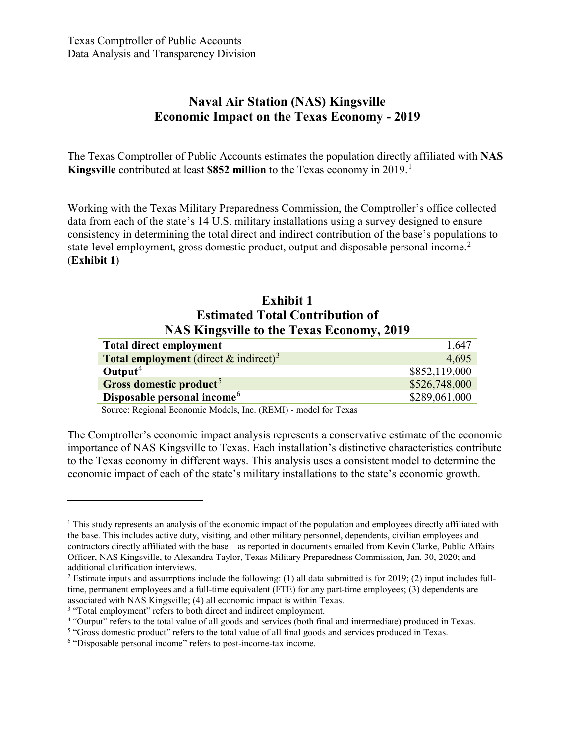# **Naval Air Station (NAS) Kingsville Economic Impact on the Texas Economy - 2019**

The Texas Comptroller of Public Accounts estimates the population directly affiliated with **NAS Kingsville** contributed at least **\$852 million** to the Texas economy in 2019. [1](#page-10-0)

Working with the Texas Military Preparedness Commission, the Comptroller's office collected data from each of the state's 14 U.S. military installations using a survey designed to ensure consistency in determining the total direct and indirect contribution of the base's populations to state-level employment, gross domestic product, output and disposable personal income. [2](#page-10-1) (**Exhibit 1**)

### **Exhibit 1 Estimated Total Contribution of NAS Kingsville to the Texas Economy, 2019**

| <b>Total direct employment</b>                              | 1,647         |
|-------------------------------------------------------------|---------------|
| <b>Total employment</b> (direct $\&$ indirect) <sup>3</sup> | 4.695         |
| Output <sup>4</sup>                                         | \$852,119,000 |
| Gross domestic product <sup>5</sup>                         | \$526,748,000 |
| Disposable personal income <sup>6</sup>                     | \$289,061,000 |
|                                                             |               |

Source: Regional Economic Models, Inc. (REMI) - model for Texas

The Comptroller's economic impact analysis represents a conservative estimate of the economic importance of NAS Kingsville to Texas. Each installation's distinctive characteristics contribute to the Texas economy in different ways. This analysis uses a consistent model to determine the economic impact of each of the state's military installations to the state's economic growth.

<span id="page-10-0"></span> $1$ . This study represents an analysis of the economic impact of the population and employees directly affiliated with the base. This includes active duty, visiting, and other military personnel, dependents, civilian employees and contractors directly affiliated with the base – as reported in documents emailed from Kevin Clarke, Public Affairs Officer, NAS Kingsville, to Alexandra Taylor, Texas Military Preparedness Commission, Jan. 30, 2020; and additional clarification interviews.

<span id="page-10-1"></span> $2$  Estimate inputs and assumptions include the following: (1) all data submitted is for 2019; (2) input includes fulltime, permanent employees and a full-time equivalent (FTE) for any part-time employees; (3) dependents are associated with NAS Kingsville; (4) all economic impact is within Texas.

<span id="page-10-2"></span><sup>&</sup>lt;sup>3</sup> "Total employment" refers to both direct and indirect employment.

<span id="page-10-3"></span><sup>4</sup> "Output" refers to the total value of all goods and services (both final and intermediate) produced in Texas.

<span id="page-10-4"></span><sup>5</sup> "Gross domestic product" refers to the total value of all final goods and services produced in Texas.

<span id="page-10-5"></span><sup>6</sup> "Disposable personal income" refers to post-income-tax income.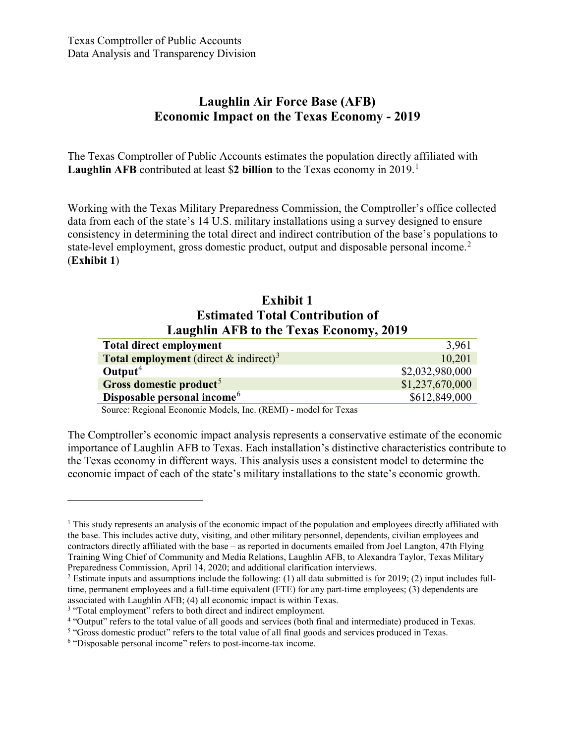# **Laughlin Air Force Base (AFB) Economic Impact on the Texas Economy - 2019**

The Texas Comptroller of Public Accounts estimates the population directly affiliated with **Laughlin AFB** contributed at least \$**2 billion** to the Texas economy in 2019. [1](#page-11-0)

Working with the Texas Military Preparedness Commission, the Comptroller's office collected data from each of the state's 14 U.S. military installations using a survey designed to ensure consistency in determining the total direct and indirect contribution of the base's populations to state-level employment, gross domestic product, output and disposable personal income. [2](#page-11-1) (**Exhibit 1**)

### **Exhibit 1 Estimated Total Contribution of Laughlin AFB to the Texas Economy, 2019**

| 3,961           |
|-----------------|
| 10,201          |
| \$2,032,980,000 |
| \$1,237,670,000 |
| \$612,849,000   |
|                 |

Source: Regional Economic Models, Inc. (REMI) - model for Texas

The Comptroller's economic impact analysis represents a conservative estimate of the economic importance of Laughlin AFB to Texas. Each installation's distinctive characteristics contribute to the Texas economy in different ways. This analysis uses a consistent model to determine the economic impact of each of the state's military installations to the state's economic growth.

<span id="page-11-0"></span> $1$ . This study represents an analysis of the economic impact of the population and employees directly affiliated with the base. This includes active duty, visiting, and other military personnel, dependents, civilian employees and contractors directly affiliated with the base – as reported in documents emailed from Joel Langton, 47th Flying Training Wing Chief of Community and Media Relations, Laughlin AFB, to Alexandra Taylor, Texas Military Preparedness Commission, April 14, 2020; and additional clarification interviews.

<span id="page-11-1"></span> $2$  Estimate inputs and assumptions include the following: (1) all data submitted is for 2019; (2) input includes fulltime, permanent employees and a full-time equivalent (FTE) for any part-time employees; (3) dependents are associated with Laughlin AFB; (4) all economic impact is within Texas.

<span id="page-11-2"></span><sup>&</sup>lt;sup>3</sup> "Total employment" refers to both direct and indirect employment.

<span id="page-11-3"></span><sup>4</sup> "Output" refers to the total value of all goods and services (both final and intermediate) produced in Texas.

<span id="page-11-4"></span><sup>5</sup> "Gross domestic product" refers to the total value of all final goods and services produced in Texas.

<span id="page-11-5"></span><sup>6</sup> "Disposable personal income" refers to post-income-tax income.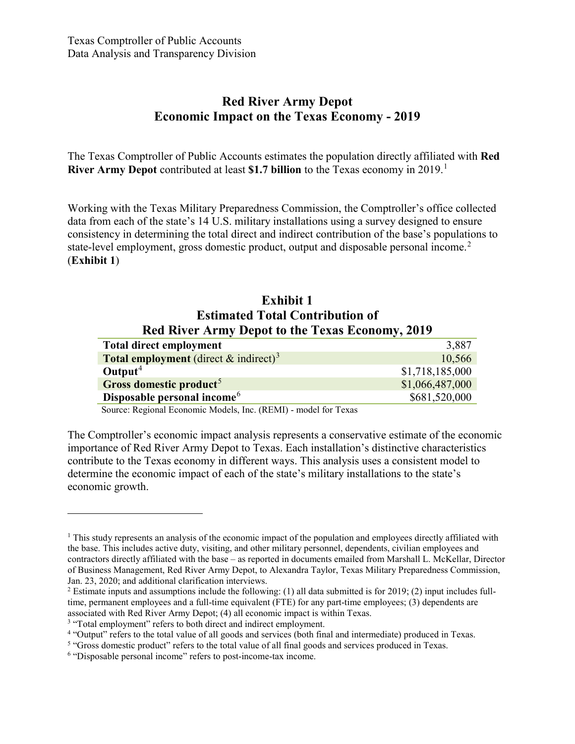# **Red River Army Depot Economic Impact on the Texas Economy - 2019**

The Texas Comptroller of Public Accounts estimates the population directly affiliated with **Red River Army Depot** contributed at least **\$1.7 billion** to the Texas economy in 2019. [1](#page-12-0)

Working with the Texas Military Preparedness Commission, the Comptroller's office collected data from each of the state's 14 U.S. military installations using a survey designed to ensure consistency in determining the total direct and indirect contribution of the base's populations to state-level employment, gross domestic product, output and disposable personal income.<sup>[2](#page-12-1)</sup> (**Exhibit 1**)

### **Exhibit 1 Estimated Total Contribution of Red River Army Depot to the Texas Economy, 2019**

| <b>Total direct employment</b>                              | 3,887           |
|-------------------------------------------------------------|-----------------|
| <b>Total employment</b> (direct $\&$ indirect) <sup>3</sup> | 10,566          |
| Output <sup>4</sup>                                         | \$1,718,185,000 |
| Gross domestic product <sup>5</sup>                         | \$1,066,487,000 |
| Disposable personal income <sup>6</sup>                     | \$681,520,000   |

Source: Regional Economic Models, Inc. (REMI) - model for Texas

The Comptroller's economic impact analysis represents a conservative estimate of the economic importance of Red River Army Depot to Texas. Each installation's distinctive characteristics contribute to the Texas economy in different ways. This analysis uses a consistent model to determine the economic impact of each of the state's military installations to the state's economic growth.

<span id="page-12-0"></span> $1$  This study represents an analysis of the economic impact of the population and employees directly affiliated with the base. This includes active duty, visiting, and other military personnel, dependents, civilian employees and contractors directly affiliated with the base – as reported in documents emailed from Marshall L. McKellar, Director of Business Management, Red River Army Depot, to Alexandra Taylor, Texas Military Preparedness Commission, Jan. 23, 2020; and additional clarification interviews.

<span id="page-12-1"></span><sup>2</sup> Estimate inputs and assumptions include the following: (1) all data submitted is for 2019; (2) input includes fulltime, permanent employees and a full-time equivalent (FTE) for any part-time employees; (3) dependents are associated with Red River Army Depot; (4) all economic impact is within Texas.

<span id="page-12-2"></span><sup>&</sup>lt;sup>3</sup> "Total employment" refers to both direct and indirect employment.

<span id="page-12-3"></span><sup>4</sup> "Output" refers to the total value of all goods and services (both final and intermediate) produced in Texas.

<span id="page-12-4"></span><sup>&</sup>lt;sup>5</sup> "Gross domestic product" refers to the total value of all final goods and services produced in Texas.

<span id="page-12-5"></span><sup>6</sup> "Disposable personal income" refers to post-income-tax income.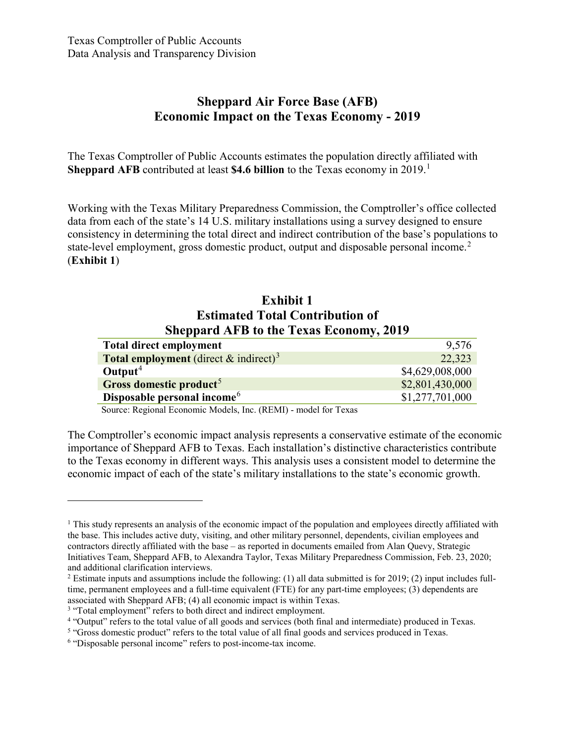# **Sheppard Air Force Base (AFB) Economic Impact on the Texas Economy - 2019**

The Texas Comptroller of Public Accounts estimates the population directly affiliated with **Sheppard AFB** contributed at least **\$4.6 billion** to the Texas economy in 2019. [1](#page-13-0)

Working with the Texas Military Preparedness Commission, the Comptroller's office collected data from each of the state's 14 U.S. military installations using a survey designed to ensure consistency in determining the total direct and indirect contribution of the base's populations to state-level employment, gross domestic product, output and disposable personal income.<sup>[2](#page-13-1)</sup> (**Exhibit 1**)

### **Exhibit 1 Estimated Total Contribution of Sheppard AFB to the Texas Economy, 2019**

| <b>Total direct employment</b>                           | 9,576           |
|----------------------------------------------------------|-----------------|
| <b>Total employment</b> (direct & indirect) <sup>3</sup> | 22,323          |
| Output <sup>4</sup>                                      | \$4,629,008,000 |
| Gross domestic product <sup>5</sup>                      | \$2,801,430,000 |
| Disposable personal income <sup>6</sup>                  | \$1,277,701,000 |

Source: Regional Economic Models, Inc. (REMI) - model for Texas

The Comptroller's economic impact analysis represents a conservative estimate of the economic importance of Sheppard AFB to Texas. Each installation's distinctive characteristics contribute to the Texas economy in different ways. This analysis uses a consistent model to determine the economic impact of each of the state's military installations to the state's economic growth.

<span id="page-13-0"></span> $1$ . This study represents an analysis of the economic impact of the population and employees directly affiliated with the base. This includes active duty, visiting, and other military personnel, dependents, civilian employees and contractors directly affiliated with the base – as reported in documents emailed from Alan Quevy, Strategic Initiatives Team, Sheppard AFB, to Alexandra Taylor, Texas Military Preparedness Commission, Feb. 23, 2020; and additional clarification interviews.

<span id="page-13-1"></span> $2$  Estimate inputs and assumptions include the following: (1) all data submitted is for 2019; (2) input includes fulltime, permanent employees and a full-time equivalent (FTE) for any part-time employees; (3) dependents are associated with Sheppard AFB; (4) all economic impact is within Texas.

<span id="page-13-2"></span><sup>&</sup>lt;sup>3</sup> "Total employment" refers to both direct and indirect employment.

<span id="page-13-3"></span><sup>4</sup> "Output" refers to the total value of all goods and services (both final and intermediate) produced in Texas.

<span id="page-13-4"></span><sup>5</sup> "Gross domestic product" refers to the total value of all final goods and services produced in Texas.

<span id="page-13-5"></span><sup>6</sup> "Disposable personal income" refers to post-income-tax income.